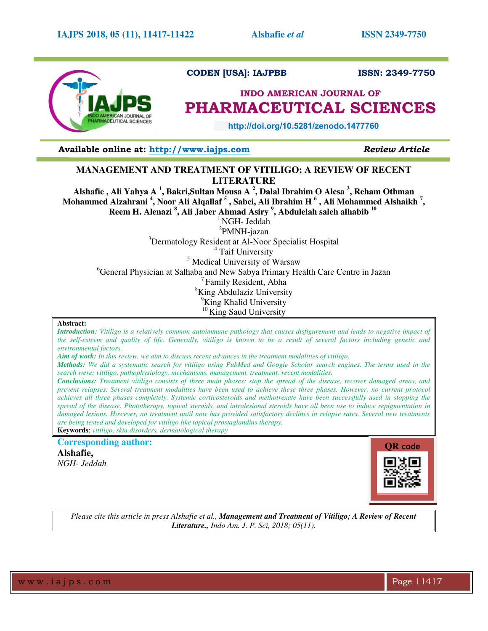

# **CODEN [USA]: IAJPBB ISSN: 2349-7750**

# **INDO AMERICAN JOURNAL OF PHARMACEUTICAL SCIENCES**

 **http://doi.org/10.5281/zenodo.1477760** 

**Available online at: [http://www.iajps.com](http://www.iajps.com/)** *Review Article*

# **MANAGEMENT AND TREATMENT OF VITILIGO; A REVIEW OF RECENT LITERATURE**

**Alshafie , Ali Yahya A <sup>1</sup> , Bakri,Sultan Mousa A <sup>2</sup> , Dalal Ibrahim O Alesa <sup>3</sup> , Reham Othman Mohammed Alzahrani <sup>4</sup> , Noor Ali Alqallaf <sup>5</sup> , Sabei, Ali Ibrahim H <sup>6</sup> , Ali Mohammed Alshaikh <sup>7</sup> , Reem H. Alenazi <sup>8</sup> , Ali Jaber Ahmad Asiry <sup>9</sup> , Abdulelah saleh alhabib <sup>10</sup>** 

 $1$ NGH- Jeddah

<sup>2</sup>PMNH-jazan <sup>3</sup>Dermatology Resident at Al-Noor Specialist Hospital <sup>4</sup> Taif University <sup>5</sup> Medical University of Warsaw <sup>6</sup>General Physician at Salhaba and New Sabya Primary Health Care Centre in Jazan <sup>7</sup>Family Resident, Abha <sup>8</sup>King Abdulaziz University <sup>9</sup>King Khalid University  $10$ King Saud University

# **Abstract:**

*Introduction: Vitiligo is a relatively common autoimmune pathology that causes disfigurement and leads to negative impact of the self-esteem and quality of life. Generally, vitiligo is known to be a result of several factors including genetic and environmental factors.* 

*Aim of work: In this review, we aim to discuss recent advances in the treatment modalities of vitiligo.* 

*Methods: We did a systematic search for vitiligo using PubMed and Google Scholar search engines. The terms used in the search were: vitiligo, pathophysiology, mechanisms, management, treatment, recent modalities.* 

*Conclusions: Treatment vitiligo consists of three main phases: stop the spread of the disease, recover damaged areas, and prevent relapses. Several treatment modalities have been used to achieve these three phases. However, no current protocol achieves all three phases completely. Systemic corticosteroids and methotrexate have been successfully used in stopping the spread of the disease. Phototherapy, topical steroids, and intralesional steroids have all been use to induce repigmentation in damaged lesions. However, no treatment until now has provided satisfactory declines in relapse rates. Several new treatments are being tested and developed for vitiligo like topical prostaglandins therapy.*  **Keywords**: *vitiligo, skin disorders, dermatological therapy* 

**Corresponding author:** 

**Alshafie,** *NGH- Jeddah* 



*Please cite this article in press Alshafie et al., Management and Treatment of Vitiligo; A Review of Recent Literature., Indo Am. J. P. Sci, 2018; 05(11).*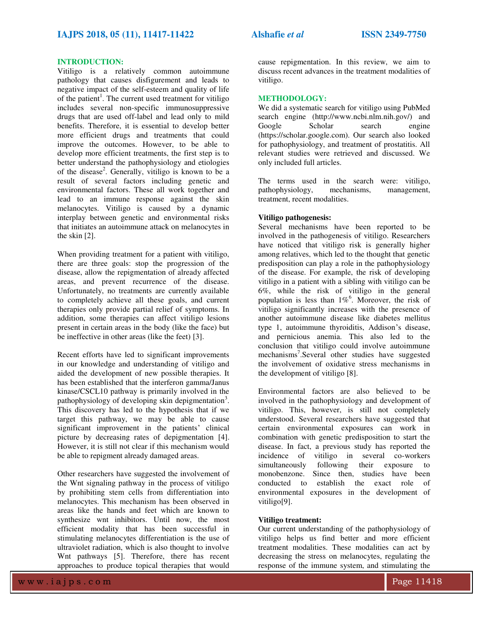# **INTRODUCTION:**

Vitiligo is a relatively common autoimmune pathology that causes disfigurement and leads to negative impact of the self-esteem and quality of life of the patient<sup>1</sup>. The current used treatment for vitiligo includes several non-specific immunosuppressive drugs that are used off-label and lead only to mild benefits. Therefore, it is essential to develop better more efficient drugs and treatments that could improve the outcomes. However, to be able to develop more efficient treatments, the first step is to better understand the pathophysiology and etiologies of the disease<sup>2</sup>. Generally, vitiligo is known to be a result of several factors including genetic and environmental factors. These all work together and lead to an immune response against the skin melanocytes. Vitiligo is caused by a dynamic interplay between genetic and environmental risks that initiates an autoimmune attack on melanocytes in the skin [2].

When providing treatment for a patient with vitiligo, there are three goals: stop the progression of the disease, allow the repigmentation of already affected areas, and prevent recurrence of the disease. Unfortunately, no treatments are currently available to completely achieve all these goals, and current therapies only provide partial relief of symptoms. In addition, some therapies can affect vitiligo lesions present in certain areas in the body (like the face) but be ineffective in other areas (like the feet) [3].

Recent efforts have led to significant improvements in our knowledge and understanding of vitiligo and aided the development of new possible therapies. It has been established that the interferon gamma/Janus kinase/CSCL10 pathway is primarily involved in the pathophysiology of developing skin depigmentation<sup>3</sup>. This discovery has led to the hypothesis that if we target this pathway, we may be able to cause significant improvement in the patients' clinical picture by decreasing rates of depigmentation [4]. However, it is still not clear if this mechanism would be able to repigment already damaged areas.

Other researchers have suggested the involvement of the Wnt signaling pathway in the process of vitiligo by prohibiting stem cells from differentiation into melanocytes. This mechanism has been observed in areas like the hands and feet which are known to synthesize wnt inhibitors. Until now, the most efficient modality that has been successful in stimulating melanocytes differentiation is the use of ultraviolet radiation, which is also thought to involve Wnt pathways [5]. Therefore, there has recent approaches to produce topical therapies that would

cause repigmentation. In this review, we aim to discuss recent advances in the treatment modalities of vitiligo.

#### **METHODOLOGY:**

We did a systematic search for vitiligo using PubMed search engine (http://www.ncbi.nlm.nih.gov/) and Google Scholar search engine (https://scholar.google.com). Our search also looked for pathophysiology, and treatment of prostatitis. All relevant studies were retrieved and discussed. We only included full articles.

The terms used in the search were: vitiligo, nathonhysiology. mechanisms. management. pathophysiology, treatment, recent modalities.

# **Vitiligo pathogenesis:**

Several mechanisms have been reported to be involved in the pathogenesis of vitiligo. Researchers have noticed that vitiligo risk is generally higher among relatives, which led to the thought that genetic predisposition can play a role in the pathophysiology of the disease. For example, the risk of developing vitiligo in a patient with a sibling with vitiligo can be 6%, while the risk of vitiligo in the general population is less than  $1\%$ <sup>6</sup>. Moreover, the risk of vitiligo significantly increases with the presence of another autoimmune disease like diabetes mellitus type 1, autoimmune thyroiditis, Addison's disease, and pernicious anemia. This also led to the conclusion that vitiligo could involve autoimmune mechanisms<sup>7</sup>.Several other studies have suggested the involvement of oxidative stress mechanisms in the development of vitiligo [8].

Environmental factors are also believed to be involved in the pathophysiology and development of vitiligo. This, however, is still not completely understood. Several researchers have suggested that certain environmental exposures can work in combination with genetic predisposition to start the disease. In fact, a previous study has reported the incidence of vitiligo in several co-workers simultaneously following their exposure to monobenzone. Since then, studies have been conducted to establish the exact role of environmental exposures in the development of vitiligo[9].

#### **Vitiligo treatment:**

Our current understanding of the pathophysiology of vitiligo helps us find better and more efficient treatment modalities. These modalities can act by decreasing the stress on melanocytes, regulating the response of the immune system, and stimulating the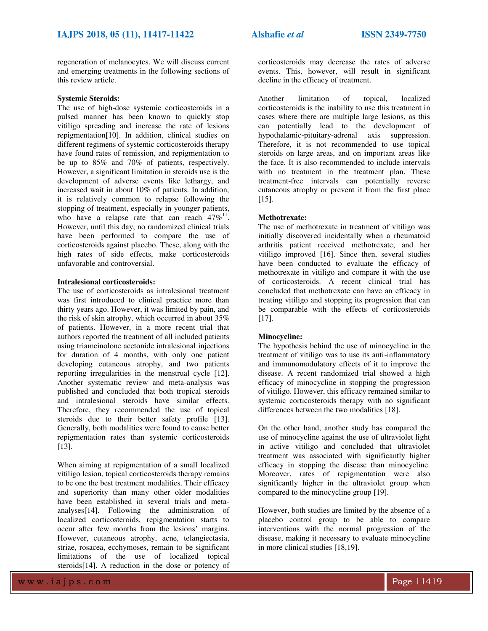regeneration of melanocytes. We will discuss current and emerging treatments in the following sections of this review article.

### **Systemic Steroids:**

The use of high-dose systemic corticosteroids in a pulsed manner has been known to quickly stop vitiligo spreading and increase the rate of lesions repigmentation[10]. In addition, clinical studies on different regimens of systemic corticosteroids therapy have found rates of remission, and repigmentation to be up to 85% and 70% of patients, respectively. However, a significant limitation in steroids use is the development of adverse events like lethargy, and increased wait in about 10% of patients. In addition, it is relatively common to relapse following the stopping of treatment, especially in younger patients, who have a relapse rate that can reach  $47\%^{11}$ . However, until this day, no randomized clinical trials have been performed to compare the use of corticosteroids against placebo. These, along with the high rates of side effects, make corticosteroids unfavorable and controversial.

# **Intralesional corticosteroids:**

The use of corticosteroids as intralesional treatment was first introduced to clinical practice more than thirty years ago. However, it was limited by pain, and the risk of skin atrophy, which occurred in about 35% of patients. However, in a more recent trial that authors reported the treatment of all included patients using triamcinolone acetonide intralesional injections for duration of 4 months, with only one patient developing cutaneous atrophy, and two patients reporting irregularities in the menstrual cycle [12]. Another systematic review and meta-analysis was published and concluded that both tropical steroids and intralesional steroids have similar effects. Therefore, they recommended the use of topical steroids due to their better safety profile [13]. Generally, both modalities were found to cause better repigmentation rates than systemic corticosteroids [13].

When aiming at repigmentation of a small localized vitiligo lesion, topical corticosteroids therapy remains to be one the best treatment modalities. Their efficacy and superiority than many other older modalities have been established in several trials and metaanalyses[14]. Following the administration of localized corticosteroids, repigmentation starts to occur after few months from the lesions' margins. However, cutaneous atrophy, acne, telangiectasia, striae, rosacea, ecchymoses, remain to be significant limitations of the use of localized topical steroids[14]. A reduction in the dose or potency of corticosteroids may decrease the rates of adverse events. This, however, will result in significant decline in the efficacy of treatment.

Another limitation of topical, localized corticosteroids is the inability to use this treatment in cases where there are multiple large lesions, as this can potentially lead to the development of hypothalamic-pituitary-adrenal axis suppression. Therefore, it is not recommended to use topical steroids on large areas, and on important areas like the face. It is also recommended to include intervals with no treatment in the treatment plan. These treatment-free intervals can potentially reverse cutaneous atrophy or prevent it from the first place [15].

### **Methotrexate:**

The use of methotrexate in treatment of vitiligo was initially discovered incidentally when a rheumatoid arthritis patient received methotrexate, and her vitiligo improved [16]. Since then, several studies have been conducted to evaluate the efficacy of methotrexate in vitiligo and compare it with the use of corticosteroids. A recent clinical trial has concluded that methotrexate can have an efficacy in treating vitiligo and stopping its progression that can be comparable with the effects of corticosteroids [17].

# **Minocycline:**

The hypothesis behind the use of minocycline in the treatment of vitiligo was to use its anti-inflammatory and immunomodulatory effects of it to improve the disease. A recent randomized trial showed a high efficacy of minocycline in stopping the progression of vitiligo. However, this efficacy remained similar to systemic corticosteroids therapy with no significant differences between the two modalities [18].

On the other hand, another study has compared the use of minocycline against the use of ultraviolet light in active vitiligo and concluded that ultraviolet treatment was associated with significantly higher efficacy in stopping the disease than minocycline. Moreover, rates of repigmentation were also significantly higher in the ultraviolet group when compared to the minocycline group [19].

However, both studies are limited by the absence of a placebo control group to be able to compare interventions with the normal progression of the disease, making it necessary to evaluate minocycline in more clinical studies [18,19].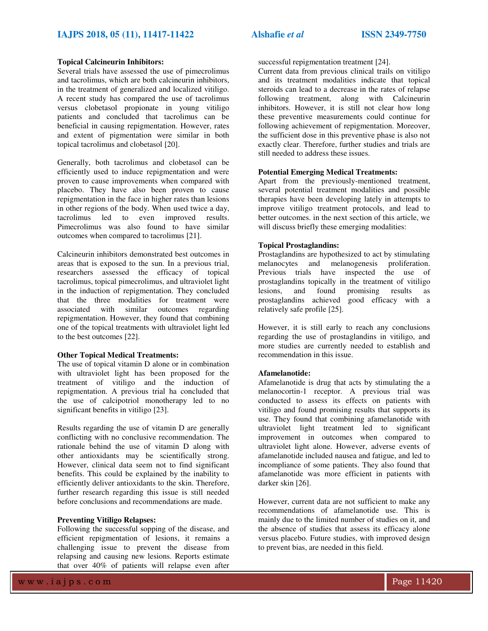# **IAJPS 2018, 05 (11), 11417-11422 Alshafie** *et al* **ISSN 2349-7750**

# **Topical Calcineurin Inhibitors:**

Several trials have assessed the use of pimecrolimus and tacrolimus, which are both calcineurin inhibitors, in the treatment of generalized and localized vitiligo. A recent study has compared the use of tacrolimus versus clobetasol propionate in young vitiligo patients and concluded that tacrolimus can be beneficial in causing repigmentation. However, rates and extent of pigmentation were similar in both topical tacrolimus and clobetasol [20].

Generally, both tacrolimus and clobetasol can be efficiently used to induce repigmentation and were proven to cause improvements when compared with placebo. They have also been proven to cause repigmentation in the face in higher rates than lesions in other regions of the body. When used twice a day, tacrolimus led to even improved results. Pimecrolimus was also found to have similar outcomes when compared to tacrolimus [21].

Calcineurin inhibitors demonstrated best outcomes in areas that is exposed to the sun. In a previous trial, researchers assessed the efficacy of topical tacrolimus, topical pimecrolimus, and ultraviolet light in the induction of repigmentation. They concluded that the three modalities for treatment were associated with similar outcomes regarding repigmentation. However, they found that combining one of the topical treatments with ultraviolet light led to the best outcomes [22].

# **Other Topical Medical Treatments:**

The use of topical vitamin D alone or in combination with ultraviolet light has been proposed for the treatment of vitiligo and the induction of repigmentation. A previous trial ha concluded that the use of calcipotriol monotherapy led to no significant benefits in vitiligo [23].

Results regarding the use of vitamin D are generally conflicting with no conclusive recommendation. The rationale behind the use of vitamin D along with other antioxidants may be scientifically strong. However, clinical data seem not to find significant benefits. This could be explained by the inability to efficiently deliver antioxidants to the skin. Therefore, further research regarding this issue is still needed before conclusions and recommendations are made.

# **Preventing Vitiligo Relapses:**

Following the successful sopping of the disease, and efficient repigmentation of lesions, it remains a challenging issue to prevent the disease from relapsing and causing new lesions. Reports estimate that over 40% of patients will relapse even after

successful repigmentation treatment [24].

Current data from previous clinical trails on vitiligo and its treatment modalities indicate that topical steroids can lead to a decrease in the rates of relapse following treatment, along with Calcineurin inhibitors. However, it is still not clear how long these preventive measurements could continue for following achievement of repigmentation. Moreover, the sufficient dose in this preventive phase is also not exactly clear. Therefore, further studies and trials are still needed to address these issues.

# **Potential Emerging Medical Treatments:**

Apart from the previously-mentioned treatment, several potential treatment modalities and possible therapies have been developing lately in attempts to improve vitiligo treatment protocols, and lead to better outcomes. in the next section of this article, we will discuss briefly these emerging modalities:

# **Topical Prostaglandins:**

Prostaglandins are hypothesized to act by stimulating melanocytes and melanogenesis proliferation. Previous trials have inspected the use of prostaglandins topically in the treatment of vitiligo lesions, and found promising results as prostaglandins achieved good efficacy with a relatively safe profile [25].

However, it is still early to reach any conclusions regarding the use of prostaglandins in vitiligo, and more studies are currently needed to establish and recommendation in this issue.

# **Afamelanotide:**

Afamelanotide is drug that acts by stimulating the a melanocortin-1 receptor. A previous trial was conducted to assess its effects on patients with vitiligo and found promising results that supports its use. They found that combining afamelanotide with ultraviolet light treatment led to significant improvement in outcomes when compared to ultraviolet light alone. However, adverse events of afamelanotide included nausea and fatigue, and led to incompliance of some patients. They also found that afamelanotide was more efficient in patients with darker skin [26].

However, current data are not sufficient to make any recommendations of afamelanotide use. This is mainly due to the limited number of studies on it, and the absence of studies that assess its efficacy alone versus placebo. Future studies, with improved design to prevent bias, are needed in this field.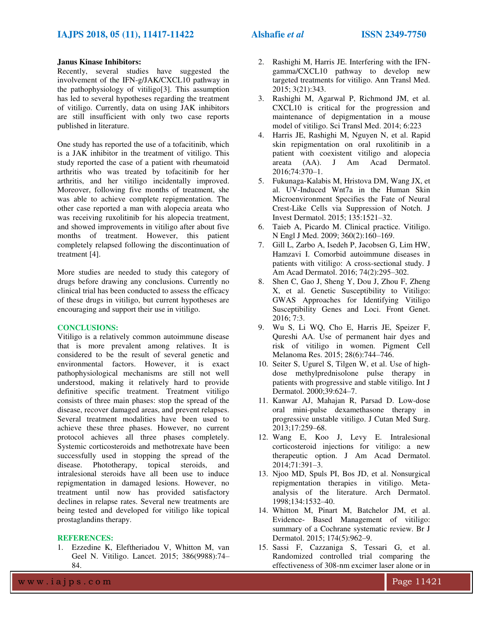# **Janus Kinase Inhibitors:**

Recently, several studies have suggested the involvement of the IFN-g/JAK/CXCL10 pathway in the pathophysiology of vitiligo[3]. This assumption has led to several hypotheses regarding the treatment of vitiligo. Currently, data on using JAK inhibitors are still insufficient with only two case reports published in literature.

One study has reported the use of a tofacitinib, which is a JAK inhibitor in the treatment of vitiligo. This study reported the case of a patient with rheumatoid arthritis who was treated by tofacitinib for her arthritis, and her vitiligo incidentally improved. Moreover, following five months of treatment, she was able to achieve complete repigmentation. The other case reported a man with alopecia areata who was receiving ruxolitinib for his alopecia treatment, and showed improvements in vitiligo after about five months of treatment. However, this patient completely relapsed following the discontinuation of treatment [4].

More studies are needed to study this category of drugs before drawing any conclusions. Currently no clinical trial has been conducted to assess the efficacy of these drugs in vitiligo, but current hypotheses are encouraging and support their use in vitiligo.

# **CONCLUSIONS:**

Vitiligo is a relatively common autoimmune disease that is more prevalent among relatives. It is considered to be the result of several genetic and environmental factors. However, it is exact pathophysiological mechanisms are still not well understood, making it relatively hard to provide definitive specific treatment. Treatment vitiligo consists of three main phases: stop the spread of the disease, recover damaged areas, and prevent relapses. Several treatment modalities have been used to achieve these three phases. However, no current protocol achieves all three phases completely. Systemic corticosteroids and methotrexate have been successfully used in stopping the spread of the disease. Phototherapy, topical steroids, and intralesional steroids have all been use to induce repigmentation in damaged lesions. However, no treatment until now has provided satisfactory declines in relapse rates. Several new treatments are being tested and developed for vitiligo like topical prostaglandins therapy.

# **REFERENCES:**

1. Ezzedine K, Eleftheriadou V, Whitton M, van Geel N. Vitiligo. Lancet. 2015; 386(9988):74– 84.

- 2. Rashighi M, Harris JE. Interfering with the IFNgamma/CXCL10 pathway to develop new targeted treatments for vitiligo. Ann Transl Med. 2015; 3(21):343.
- 3. Rashighi M, Agarwal P, Richmond JM, et al. CXCL10 is critical for the progression and maintenance of depigmentation in a mouse model of vitiligo. Sci Transl Med. 2014; 6:223
- 4. Harris JE, Rashighi M, Nguyen N, et al. Rapid skin repigmentation on oral ruxolitinib in a patient with coexistent vitiligo and alopecia areata (AA). J Am Acad Dermatol. 2016;74:370–1.
- 5. Fukunaga-Kalabis M, Hristova DM, Wang JX, et al. UV-Induced Wnt7a in the Human Skin Microenvironment Specifies the Fate of Neural Crest-Like Cells via Suppression of Notch. J Invest Dermatol. 2015; 135:1521–32.
- 6. Taieb A, Picardo M. Clinical practice. Vitiligo. N Engl J Med. 2009; 360(2):160–169.
- 7. Gill L, Zarbo A, Isedeh P, Jacobsen G, Lim HW, Hamzavi I. Comorbid autoimmune diseases in patients with vitiligo: A cross-sectional study. J Am Acad Dermatol. 2016; 74(2):295–302.
- 8. Shen C, Gao J, Sheng Y, Dou J, Zhou F, Zheng X, et al. Genetic Susceptibility to Vitiligo: GWAS Approaches for Identifying Vitiligo Susceptibility Genes and Loci. Front Genet. 2016; 7:3.
- 9. Wu S, Li WQ, Cho E, Harris JE, Speizer F, Qureshi AA. Use of permanent hair dyes and risk of vitiligo in women. Pigment Cell Melanoma Res. 2015; 28(6):744–746.
- 10. Seiter S, Ugurel S, Tilgen W, et al. Use of highdose methylprednisolone pulse therapy in patients with progressive and stable vitiligo. Int J Dermatol. 2000;39:624–7.
- 11. Kanwar AJ, Mahajan R, Parsad D. Low-dose oral mini-pulse dexamethasone therapy in progressive unstable vitiligo. J Cutan Med Surg. 2013;17:259–68.
- 12. Wang E, Koo J, Levy E. Intralesional corticosteroid injections for vitiligo: a new therapeutic option. J Am Acad Dermatol. 2014;71:391–3.
- 13. Njoo MD, Spuls PI, Bos JD, et al. Nonsurgical repigmentation therapies in vitiligo. Metaanalysis of the literature. Arch Dermatol. 1998;134:1532–40.
- 14. Whitton M, Pinart M, Batchelor JM, et al. Evidence- Based Management of vitiligo: summary of a Cochrane systematic review. Br J Dermatol. 2015; 174(5):962–9.
- 15. Sassi F, Cazzaniga S, Tessari G, et al. Randomized controlled trial comparing the effectiveness of 308-nm excimer laser alone or in